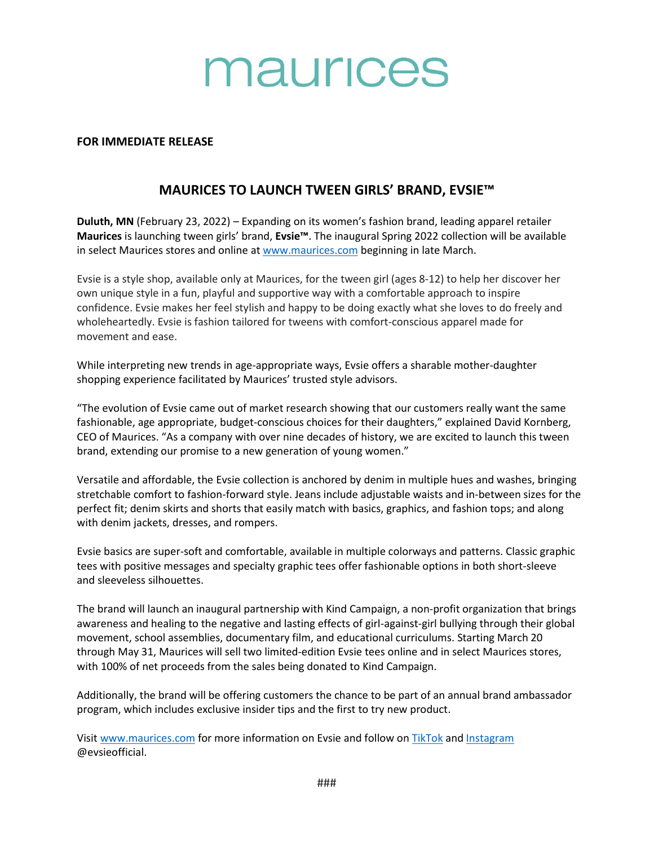# maurices

## **FOR IMMEDIATE RELEASE**

## **MAURICES TO LAUNCH TWEEN GIRLS' BRAND, EVSIE™**

**Duluth, MN** (February 23, 2022) – Expanding on its women's fashion brand, leading apparel retailer **Maurices** is launching tween girls' brand, **Evsie™**. The inaugural Spring 2022 collection will be available in select Maurices stores and online at [www.maurices.com](http://www.maurices.com/) beginning in late March.

Evsie is a style shop, available only at Maurices, for the tween girl (ages 8-12) to help her discover her own unique style in a fun, playful and supportive way with a comfortable approach to inspire confidence. Evsie makes her feel stylish and happy to be doing exactly what she loves to do freely and wholeheartedly. Evsie is fashion tailored for tweens with comfort-conscious apparel made for movement and ease.

While interpreting new trends in age-appropriate ways, Evsie offers a sharable mother-daughter shopping experience facilitated by Maurices' trusted style advisors.

"The evolution of Evsie came out of market research showing that our customers really want the same fashionable, age appropriate, budget-conscious choices for their daughters," explained David Kornberg, CEO of Maurices. "As a company with over nine decades of history, we are excited to launch this tween brand, extending our promise to a new generation of young women."

Versatile and affordable, the Evsie collection is anchored by denim in multiple hues and washes, bringing stretchable comfort to fashion-forward style. Jeans include adjustable waists and in-between sizes for the perfect fit; denim skirts and shorts that easily match with basics, graphics, and fashion tops; and along with denim jackets, dresses, and rompers.

Evsie basics are super-soft and comfortable, available in multiple colorways and patterns. Classic graphic tees with positive messages and specialty graphic tees offer fashionable options in both short-sleeve and sleeveless silhouettes.

The brand will launch an inaugural partnership with Kind Campaign, a non-profit organization that brings awareness and healing to the negative and lasting effects of girl-against-girl bullying through their global movement, school assemblies, documentary film, and educational curriculums. Starting March 20 through May 31, Maurices will sell two limited-edition Evsie tees online and in select Maurices stores, with 100% of net proceeds from the sales being donated to Kind Campaign.

Additionally, the brand will be offering customers the chance to be part of an annual brand ambassador program, which includes exclusive insider tips and the first to try new product.

Visit [www.maurices.com](http://www.maurices.com/) for more information on Evsie and follow on [TikTok](https://www.tiktok.com/@evsieofficial) an[d Instagram](https://www.instagram.com/evsieofficial/) @evsieofficial.